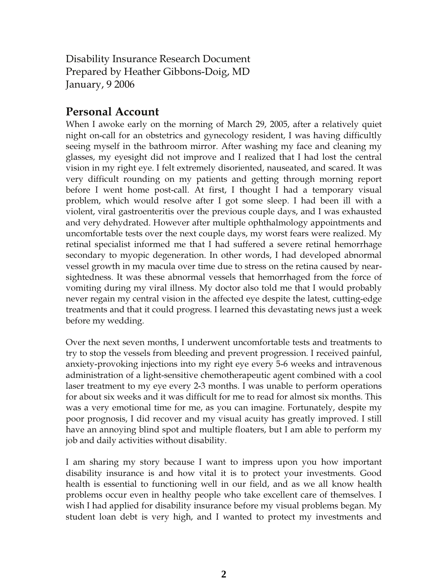Disability Insurance Research Document Prepared by Heather Gibbons-Doig, MD January, 9 2006

## Personal Account

When I awoke early on the morning of March 29, 2005, after a relatively quiet night on-call for an obstetrics and gynecology resident, I was having difficultly seeing myself in the bathroom mirror. After washing my face and cleaning my glasses, my eyesight did not improve and I realized that I had lost the central vision in my right eye. I felt extremely disoriented, nauseated, and scared. It was very difficult rounding on my patients and getting through morning report before I went home post-call. At first, I thought I had a temporary visual problem, which would resolve after I got some sleep. I had been ill with a violent, viral gastroenteritis over the previous couple days, and I was exhausted and very dehydrated. However after multiple ophthalmology appointments and uncomfortable tests over the next couple days, my worst fears were realized. My retinal specialist informed me that I had suffered a severe retinal hemorrhage secondary to myopic degeneration. In other words, I had developed abnormal vessel growth in my macula over time due to stress on the retina caused by nearsightedness. It was these abnormal vessels that hemorrhaged from the force of vomiting during my viral illness. My doctor also told me that I would probably never regain my central vision in the affected eye despite the latest, cutting-edge treatments and that it could progress. I learned this devastating news just a week before my wedding.

Over the next seven months, I underwent uncomfortable tests and treatments to try to stop the vessels from bleeding and prevent progression. I received painful, anxiety-provoking injections into my right eye every 5-6 weeks and intravenous administration of a light-sensitive chemotherapeutic agent combined with a cool laser treatment to my eye every 2-3 months. I was unable to perform operations for about six weeks and it was difficult for me to read for almost six months. This was a very emotional time for me, as you can imagine. Fortunately, despite my poor prognosis, I did recover and my visual acuity has greatly improved. I still have an annoying blind spot and multiple floaters, but I am able to perform my job and daily activities without disability.

I am sharing my story because I want to impress upon you how important disability insurance is and how vital it is to protect your investments. Good health is essential to functioning well in our field, and as we all know health problems occur even in healthy people who take excellent care of themselves. I wish I had applied for disability insurance before my visual problems began. My student loan debt is very high, and I wanted to protect my investments and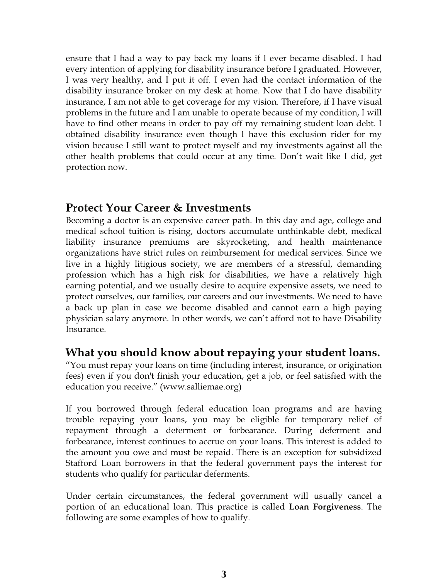ensure that I had a way to pay back my loans if I ever became disabled. I had every intention of applying for disability insurance before I graduated. However, I was very healthy, and I put it off. I even had the contact information of the disability insurance broker on my desk at home. Now that I do have disability insurance, I am not able to get coverage for my vision. Therefore, if I have visual problems in the future and I am unable to operate because of my condition, I will have to find other means in order to pay off my remaining student loan debt. I obtained disability insurance even though I have this exclusion rider for my vision because I still want to protect myself and my investments against all the other health problems that could occur at any time. Don't wait like I did, get protection now.

### Protect Your Career & Investments

Becoming a doctor is an expensive career path. In this day and age, college and medical school tuition is rising, doctors accumulate unthinkable debt, medical liability insurance premiums are skyrocketing, and health maintenance organizations have strict rules on reimbursement for medical services. Since we live in a highly litigious society, we are members of a stressful, demanding profession which has a high risk for disabilities, we have a relatively high earning potential, and we usually desire to acquire expensive assets, we need to protect ourselves, our families, our careers and our investments. We need to have a back up plan in case we become disabled and cannot earn a high paying physician salary anymore. In other words, we can't afford not to have Disability Insurance.

## What you should know about repaying your student loans.

"You must repay your loans on time (including interest, insurance, or origination fees) even if you don't finish your education, get a job, or feel satisfied with the education you receive." (www.salliemae.org)

If you borrowed through federal education loan programs and are having trouble repaying your loans, you may be eligible for temporary relief of repayment through a deferment or forbearance. During deferment and forbearance, interest continues to accrue on your loans. This interest is added to the amount you owe and must be repaid. There is an exception for subsidized Stafford Loan borrowers in that the federal government pays the interest for students who qualify for particular deferments.

Under certain circumstances, the federal government will usually cancel a portion of an educational loan. This practice is called Loan Forgiveness. The following are some examples of how to qualify.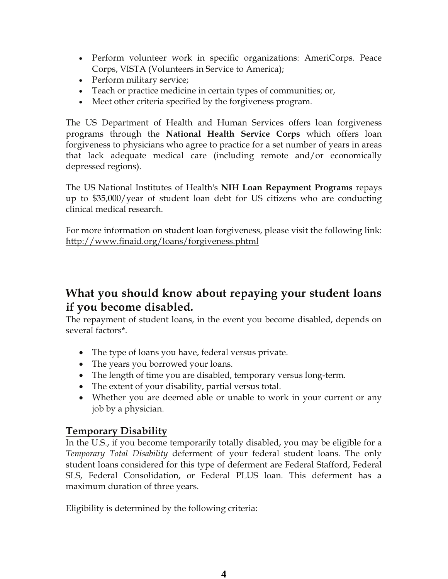- Perform volunteer work in specific organizations: AmeriCorps. Peace Corps, VISTA (Volunteers in Service to America);
- Perform military service;
- Teach or practice medicine in certain types of communities; or,
- Meet other criteria specified by the forgiveness program.

The US Department of Health and Human Services offers loan forgiveness programs through the National Health Service Corps which offers loan forgiveness to physicians who agree to practice for a set number of years in areas that lack adequate medical care (including remote and/or economically depressed regions).

The US National Institutes of Health's NIH Loan Repayment Programs repays up to \$35,000/year of student loan debt for US citizens who are conducting clinical medical research.

For more information on student loan forgiveness, please visit the following link: http://www.finaid.org/loans/forgiveness.phtml

## What you should know about repaying your student loans if you become disabled.

The repayment of student loans, in the event you become disabled, depends on several factors\*.

- The type of loans you have, federal versus private.
- The years you borrowed your loans.
- The length of time you are disabled, temporary versus long-term.
- The extent of your disability, partial versus total.
- Whether you are deemed able or unable to work in your current or any job by a physician.

### Temporary Disability

In the U.S., if you become temporarily totally disabled, you may be eligible for a Temporary Total Disability deferment of your federal student loans. The only student loans considered for this type of deferment are Federal Stafford, Federal SLS, Federal Consolidation, or Federal PLUS loan. This deferment has a maximum duration of three years.

Eligibility is determined by the following criteria: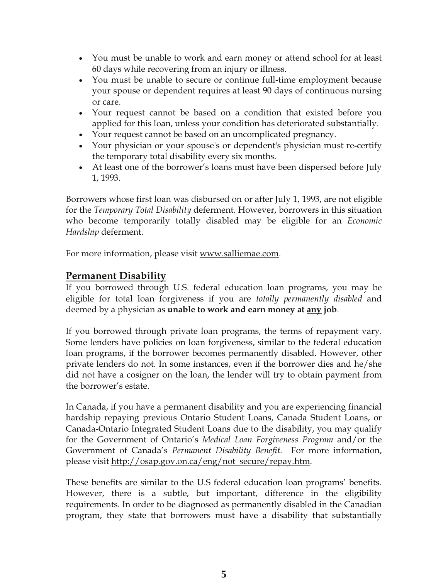- You must be unable to work and earn money or attend school for at least 60 days while recovering from an injury or illness.
- You must be unable to secure or continue full-time employment because your spouse or dependent requires at least 90 days of continuous nursing or care.
- Your request cannot be based on a condition that existed before you applied for this loan, unless your condition has deteriorated substantially.
- Your request cannot be based on an uncomplicated pregnancy.
- Your physician or your spouse's or dependent's physician must re-certify the temporary total disability every six months.
- At least one of the borrower's loans must have been dispersed before July 1, 1993.

Borrowers whose first loan was disbursed on or after July 1, 1993, are not eligible for the Temporary Total Disability deferment. However, borrowers in this situation who become temporarily totally disabled may be eligible for an *Economic* Hardship deferment.

For more information, please visit www.salliemae.com.

#### Permanent Disability

If you borrowed through U.S. federal education loan programs, you may be eligible for total loan forgiveness if you are totally permanently disabled and deemed by a physician as unable to work and earn money at any job.

If you borrowed through private loan programs, the terms of repayment vary. Some lenders have policies on loan forgiveness, similar to the federal education loan programs, if the borrower becomes permanently disabled. However, other private lenders do not. In some instances, even if the borrower dies and he/she did not have a cosigner on the loan, the lender will try to obtain payment from the borrower's estate.

In Canada, if you have a permanent disability and you are experiencing financial hardship repaying previous Ontario Student Loans, Canada Student Loans, or Canada-Ontario Integrated Student Loans due to the disability, you may qualify for the Government of Ontario's Medical Loan Forgiveness Program and/or the Government of Canada's Permanent Disability Benefit. For more information, please visit http://osap.gov.on.ca/eng/not\_secure/repay.htm.

These benefits are similar to the U.S federal education loan programs' benefits. However, there is a subtle, but important, difference in the eligibility requirements. In order to be diagnosed as permanently disabled in the Canadian program, they state that borrowers must have a disability that substantially